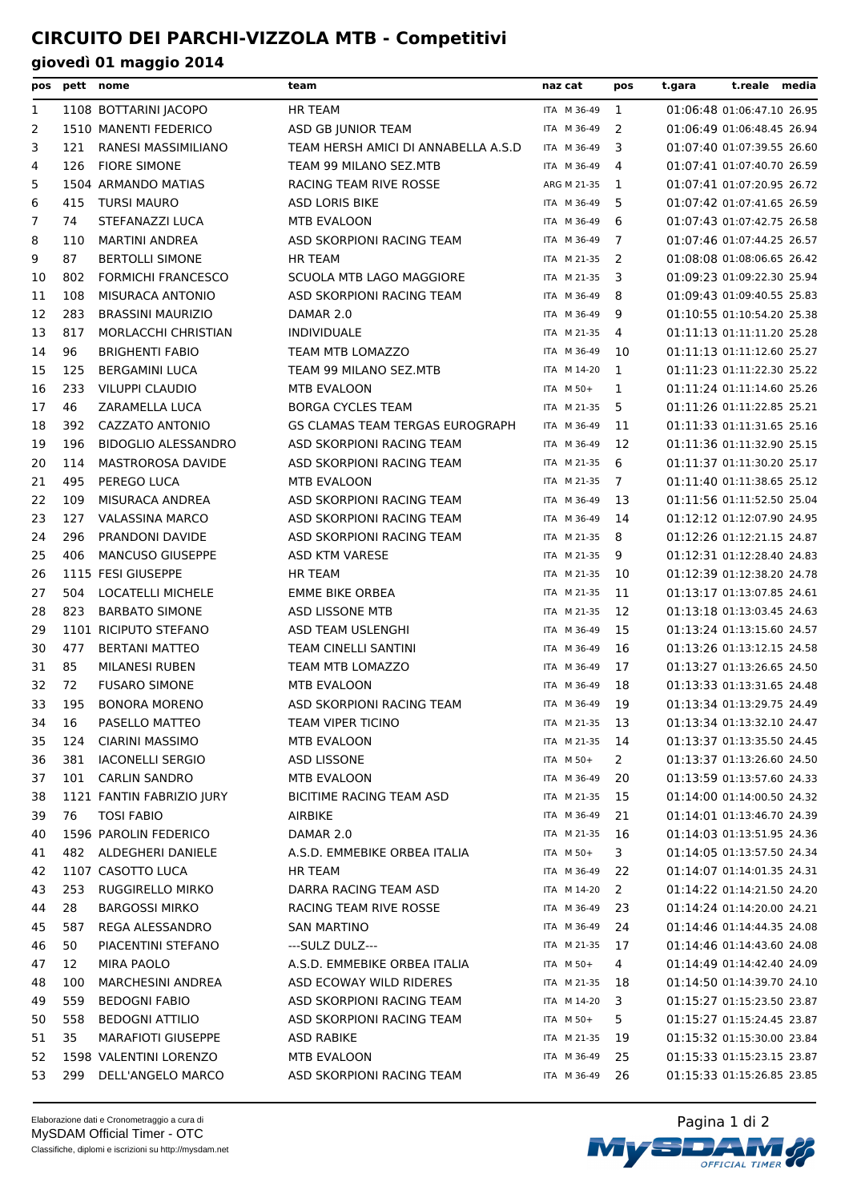| pos | pett | nome                       | team                                | naz cat                    | pos            | t.gara | t.reale media              |  |
|-----|------|----------------------------|-------------------------------------|----------------------------|----------------|--------|----------------------------|--|
| 1   |      | 1108 BOTTARINI JACOPO      | <b>HR TEAM</b>                      | ITA M 36-49                | 1              |        | 01:06:48 01:06:47.10 26.95 |  |
| 2   |      | 1510 MANENTI FEDERICO      | ASD GB JUNIOR TEAM                  | ITA M 36-49                | 2              |        | 01:06:49 01:06:48.45 26.94 |  |
| 3   | 121  | RANESI MASSIMILIANO        | TEAM HERSH AMICI DI ANNABELLA A.S.D | ITA M 36-49                | 3              |        | 01:07:40 01:07:39.55 26.60 |  |
| 4   | 126  | <b>FIORE SIMONE</b>        | TEAM 99 MILANO SEZ.MTB              | ITA M 36-49                | 4              |        | 01:07:41 01:07:40.70 26.59 |  |
| 5   |      | 1504 ARMANDO MATIAS        | RACING TEAM RIVE ROSSE              | ARG M 21-35                | 1              |        | 01:07:41 01:07:20.95 26.72 |  |
| 6   | 415  | <b>TURSI MAURO</b>         | <b>ASD LORIS BIKE</b>               | ITA M 36-49                | 5              |        | 01:07:42 01:07:41.65 26.59 |  |
| 7   | 74   | STEFANAZZI LUCA            | <b>MTB EVALOON</b>                  | ITA M 36-49                | 6              |        | 01:07:43 01:07:42.75 26.58 |  |
| 8   | 110  | <b>MARTINI ANDREA</b>      | ASD SKORPIONI RACING TEAM           | ITA M 36-49                | 7              |        | 01:07:46 01:07:44.25 26.57 |  |
| 9   | 87   | <b>BERTOLLI SIMONE</b>     | <b>HR TEAM</b>                      | ITA M 21-35                | 2              |        | 01:08:08 01:08:06.65 26.42 |  |
| 10  | 802  | <b>FORMICHI FRANCESCO</b>  | SCUOLA MTB LAGO MAGGIORE            | ITA M 21-35                | 3              |        | 01:09:23 01:09:22.30 25.94 |  |
| 11  | 108  | MISURACA ANTONIO           | ASD SKORPIONI RACING TEAM           | ITA M 36-49                | 8              |        | 01:09:43 01:09:40.55 25.83 |  |
| 12  | 283  | <b>BRASSINI MAURIZIO</b>   | DAMAR 2.0                           | ITA M 36-49                | 9              |        | 01:10:55 01:10:54.20 25.38 |  |
| 13  | 817  | MORLACCHI CHRISTIAN        | <b>INDIVIDUALE</b>                  | ITA M 21-35                | 4              |        | 01:11:13 01:11:11.20 25.28 |  |
| 14  | 96   | <b>BRIGHENTI FABIO</b>     | TEAM MTB LOMAZZO                    | ITA M 36-49                | 10             |        | 01:11:13 01:11:12.60 25.27 |  |
| 15  | 125  | <b>BERGAMINI LUCA</b>      | TEAM 99 MILANO SEZ.MTB              | ITA M 14-20                | 1              |        | 01:11:23 01:11:22.30 25.22 |  |
| 16  | 233  | <b>VILUPPI CLAUDIO</b>     | MTB EVALOON                         | ITA M 50+                  | 1              |        | 01:11:24 01:11:14.60 25.26 |  |
| 17  | 46   | ZARAMELLA LUCA             | <b>BORGA CYCLES TEAM</b>            | ITA M 21-35                | 5              |        | 01:11:26 01:11:22.85 25.21 |  |
| 18  | 392  | <b>CAZZATO ANTONIO</b>     | GS CLAMAS TEAM TERGAS EUROGRAPH     | ITA M 36-49                | 11             |        | 01:11:33 01:11:31.65 25.16 |  |
| 19  | 196  | <b>BIDOGLIO ALESSANDRO</b> | ASD SKORPIONI RACING TEAM           | ITA M 36-49                | 12             |        | 01:11:36 01:11:32.90 25.15 |  |
| 20  | 114  | MASTROROSA DAVIDE          | ASD SKORPIONI RACING TEAM           | ITA M 21-35                | 6              |        | 01:11:37 01:11:30.20 25.17 |  |
| 21  | 495  | PEREGO LUCA                | MTB EVALOON                         | ITA M 21-35                | 7              |        | 01:11:40 01:11:38.65 25.12 |  |
| 22  | 109  | MISURACA ANDREA            | ASD SKORPIONI RACING TEAM           | ITA M 36-49                | 13             |        | 01:11:56 01:11:52.50 25.04 |  |
| 23  | 127  | <b>VALASSINA MARCO</b>     | ASD SKORPIONI RACING TEAM           | ITA M 36-49                | 14             |        | 01:12:12 01:12:07.90 24.95 |  |
| 24  | 296  | PRANDONI DAVIDE            | ASD SKORPIONI RACING TEAM           | ITA M 21-35                | 8              |        | 01:12:26 01:12:21.15 24.87 |  |
| 25  | 406  | <b>MANCUSO GIUSEPPE</b>    | ASD KTM VARESE                      | ITA M 21-35                | 9              |        | 01:12:31 01:12:28.40 24.83 |  |
| 26  |      | 1115 FESI GIUSEPPE         | <b>HR TEAM</b>                      | ITA M 21-35                | 10             |        | 01:12:39 01:12:38.20 24.78 |  |
| 27  | 504  | LOCATELLI MICHELE          | <b>EMME BIKE ORBEA</b>              | ITA M 21-35                | 11             |        | 01:13:17 01:13:07.85 24.61 |  |
| 28  | 823  | <b>BARBATO SIMONE</b>      | ASD LISSONE MTB                     | ITA M 21-35                | 12             |        | 01:13:18 01:13:03.45 24.63 |  |
| 29  |      | 1101 RICIPUTO STEFANO      | ASD TEAM USLENGHI                   | ITA M 36-49                | 15             |        | 01:13:24 01:13:15.60 24.57 |  |
| 30  | 477  | <b>BERTANI MATTEO</b>      | <b>TEAM CINELLI SANTINI</b>         | ITA M 36-49                | 16             |        | 01:13:26 01:13:12.15 24.58 |  |
| 31  | 85   | <b>MILANESI RUBEN</b>      | TEAM MTB LOMAZZO                    | ITA M 36-49                | 17             |        | 01:13:27 01:13:26.65 24.50 |  |
| 32  | 72   | <b>FUSARO SIMONE</b>       | <b>MTB EVALOON</b>                  | ITA M 36-49                | 18             |        | 01:13:33 01:13:31.65 24.48 |  |
| 33  | 195  | <b>BONORA MORENO</b>       | ASD SKORPIONI RACING TEAM           | ITA M 36-49                | 19             |        | 01:13:34 01:13:29.75 24.49 |  |
| 34  | 16   | PASELLO MATTEO             | TEAM VIPER TICINO                   | ITA M 21-35                | 13             |        | 01:13:34 01:13:32.10 24.47 |  |
| 35  | 124  | <b>CIARINI MASSIMO</b>     | MTB EVALOON                         | ITA M 21-35                | 14             |        | 01:13:37 01:13:35.50 24.45 |  |
| 36  | 381  | <b>IACONELLI SERGIO</b>    | <b>ASD LISSONE</b>                  | ITA M 50+                  | $\overline{2}$ |        | 01:13:37 01:13:26.60 24.50 |  |
| 37  | 101  | <b>CARLIN SANDRO</b>       | MTB EVALOON                         | ITA M 36-49                | 20             |        | 01:13:59 01:13:57.60 24.33 |  |
| 38  |      | 1121 FANTIN FABRIZIO JURY  | <b>BICITIME RACING TEAM ASD</b>     | ITA M 21-35                | 15             |        | 01:14:00 01:14:00.50 24.32 |  |
| 39  | 76   | <b>TOSI FABIO</b>          | AIRBIKE                             | ITA M 36-49                | 21             |        | 01:14:01 01:13:46.70 24.39 |  |
|     |      | 1596 PAROLIN FEDERICO      | DAMAR 2.0                           | ITA M 21-35                | 16             |        | 01:14:03 01:13:51.95 24.36 |  |
| 40  |      | 482 ALDEGHERI DANIELE      | A.S.D. EMMEBIKE ORBEA ITALIA        | ITA M 50+                  | 3              |        | 01:14:05 01:13:57.50 24.34 |  |
| 41  |      |                            |                                     |                            |                |        |                            |  |
| 42  |      | 1107 CASOTTO LUCA          | HR TEAM                             | ITA M 36-49                | 22             |        | 01:14:07 01:14:01.35 24.31 |  |
| 43  | 253  | RUGGIRELLO MIRKO           | DARRA RACING TEAM ASD               | ITA M 14-20<br>ITA M 36-49 | 2              |        | 01:14:22 01:14:21.50 24.20 |  |
| 44  | 28   | <b>BARGOSSI MIRKO</b>      | RACING TEAM RIVE ROSSE              |                            | 23             |        | 01:14:24 01:14:20.00 24.21 |  |
| 45  | 587  | REGA ALESSANDRO            | SAN MARTINO                         | ITA M 36-49                | 24             |        | 01:14:46 01:14:44.35 24.08 |  |
| 46  | 50   | PIACENTINI STEFANO         | ---SULZ DULZ---                     | ITA M 21-35                | 17             |        | 01:14:46 01:14:43.60 24.08 |  |
| 47  | 12   | MIRA PAOLO                 | A.S.D. EMMEBIKE ORBEA ITALIA        | ITA M 50+                  | 4              |        | 01:14:49 01:14:42.40 24.09 |  |
| 48  | 100  | MARCHESINI ANDREA          | ASD ECOWAY WILD RIDERES             | ITA M 21-35                | 18             |        | 01:14:50 01:14:39.70 24.10 |  |
| 49  | 559  | <b>BEDOGNI FABIO</b>       | ASD SKORPIONI RACING TEAM           | ITA M 14-20                | 3              |        | 01:15:27 01:15:23.50 23.87 |  |
| 50  | 558  | <b>BEDOGNI ATTILIO</b>     | ASD SKORPIONI RACING TEAM           | ITA M 50+                  | 5.             |        | 01:15:27 01:15:24.45 23.87 |  |
| 51  | 35   | <b>MARAFIOTI GIUSEPPE</b>  | <b>ASD RABIKE</b>                   | ITA M 21-35                | 19             |        | 01:15:32 01:15:30.00 23.84 |  |
| 52  |      | 1598 VALENTINI LORENZO     | MTB EVALOON                         | ITA M 36-49                | 25             |        | 01:15:33 01:15:23.15 23.87 |  |
| 53  | 299  | DELL'ANGELO MARCO          | ASD SKORPIONI RACING TEAM           | ITA M 36-49                | 26             |        | 01:15:33 01:15:26.85 23.85 |  |

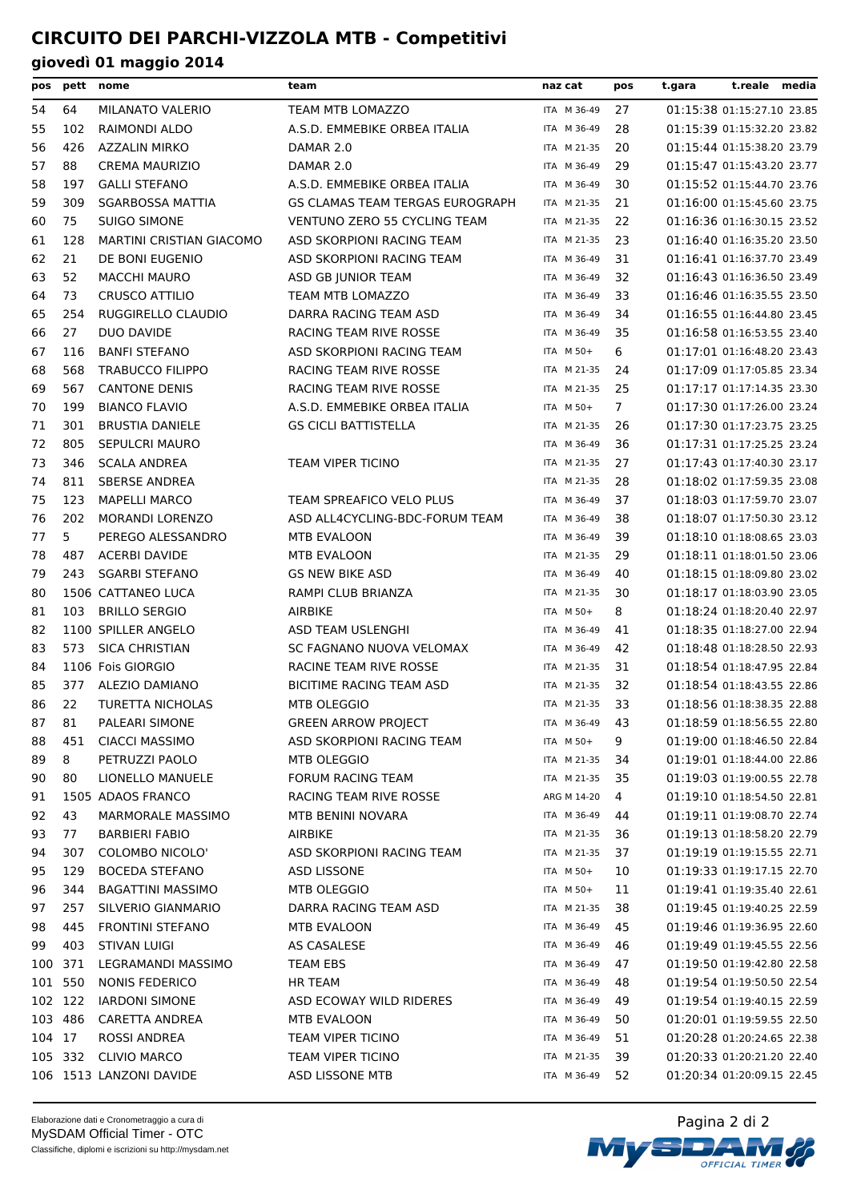| pos     |         | pett nome                       | team                            | naz cat     | pos            | t.reale media<br>t.gara    |  |
|---------|---------|---------------------------------|---------------------------------|-------------|----------------|----------------------------|--|
| 54      | 64      | MILANATO VALERIO                | TEAM MTB LOMAZZO                | ITA M 36-49 | 27             | 01:15:38 01:15:27.10 23.85 |  |
| 55      | 102     | RAIMONDI ALDO                   | A.S.D. EMMEBIKE ORBEA ITALIA    | ITA M 36-49 | 28             | 01:15:39 01:15:32.20 23.82 |  |
| 56      | 426     | <b>AZZALIN MIRKO</b>            | DAMAR 2.0                       | ITA M 21-35 | 20             | 01:15:44 01:15:38.20 23.79 |  |
| 57      | 88      | <b>CREMA MAURIZIO</b>           | DAMAR 2.0                       | ITA M 36-49 | 29             | 01:15:47 01:15:43.20 23.77 |  |
| 58      | 197     | <b>GALLI STEFANO</b>            | A.S.D. EMMEBIKE ORBEA ITALIA    | ITA M 36-49 | 30             | 01:15:52 01:15:44.70 23.76 |  |
| 59      | 309     | <b>SGARBOSSA MATTIA</b>         | GS CLAMAS TEAM TERGAS EUROGRAPH | ITA M 21-35 | 21             | 01:16:00 01:15:45.60 23.75 |  |
| 60      | 75      | <b>SUIGO SIMONE</b>             | VENTUNO ZERO 55 CYCLING TEAM    | ITA M 21-35 | 22             | 01:16:36 01:16:30.15 23.52 |  |
| 61      | 128     | <b>MARTINI CRISTIAN GIACOMO</b> | ASD SKORPIONI RACING TEAM       | ITA M 21-35 | 23             | 01:16:40 01:16:35.20 23.50 |  |
| 62      | 21      | DE BONI EUGENIO                 | ASD SKORPIONI RACING TEAM       | ITA M 36-49 | 31             | 01:16:41 01:16:37.70 23.49 |  |
| 63      | 52      | <b>MACCHI MAURO</b>             | ASD GB JUNIOR TEAM              | ITA M 36-49 | 32             | 01:16:43 01:16:36.50 23.49 |  |
| 64      | 73      | <b>CRUSCO ATTILIO</b>           | TEAM MTB LOMAZZO                | ITA M 36-49 | 33             | 01:16:46 01:16:35.55 23.50 |  |
| 65      | 254     | RUGGIRELLO CLAUDIO              | DARRA RACING TEAM ASD           | ITA M 36-49 | 34             | 01:16:55 01:16:44.80 23.45 |  |
| 66      | 27      | DUO DAVIDE                      | RACING TEAM RIVE ROSSE          | ITA M 36-49 | 35             | 01:16:58 01:16:53.55 23.40 |  |
| 67      | 116     | <b>BANFI STEFANO</b>            | ASD SKORPIONI RACING TEAM       | ITA M 50+   | 6              | 01:17:01 01:16:48.20 23.43 |  |
| 68      | 568     | <b>TRABUCCO FILIPPO</b>         | RACING TEAM RIVE ROSSE          | ITA M 21-35 | 24             | 01:17:09 01:17:05.85 23.34 |  |
| 69      | 567     | <b>CANTONE DENIS</b>            | RACING TEAM RIVE ROSSE          | ITA M 21-35 | 25             | 01:17:17 01:17:14.35 23.30 |  |
| 70      | 199     | <b>BIANCO FLAVIO</b>            | A.S.D. EMMEBIKE ORBEA ITALIA    | ITA M 50+   | $\overline{7}$ | 01:17:30 01:17:26.00 23.24 |  |
| 71      | 301     | <b>BRUSTIA DANIELE</b>          | <b>GS CICLI BATTISTELLA</b>     | ITA M 21-35 | 26             | 01:17:30 01:17:23.75 23.25 |  |
| 72      | 805     | <b>SEPULCRI MAURO</b>           |                                 | ITA M 36-49 | 36             | 01:17:31 01:17:25.25 23.24 |  |
| 73      | 346     | <b>SCALA ANDREA</b>             | TEAM VIPER TICINO               | ITA M 21-35 | 27             | 01:17:43 01:17:40.30 23.17 |  |
| 74      | 811     | <b>SBERSE ANDREA</b>            |                                 | ITA M 21-35 | 28             | 01:18:02 01:17:59.35 23.08 |  |
| 75      | 123     | <b>MAPELLI MARCO</b>            | TEAM SPREAFICO VELO PLUS        | ITA M 36-49 | 37             | 01:18:03 01:17:59.70 23.07 |  |
| 76      | 202     | <b>MORANDI LORENZO</b>          | ASD ALL4CYCLING-BDC-FORUM TEAM  | ITA M 36-49 | 38             | 01:18:07 01:17:50.30 23.12 |  |
| 77      | 5       | PEREGO ALESSANDRO               | MTB EVALOON                     | ITA M 36-49 | 39             | 01:18:10 01:18:08.65 23.03 |  |
| 78      | 487     | <b>ACERBI DAVIDE</b>            | MTB EVALOON                     | ITA M 21-35 | 29             | 01:18:11 01:18:01.50 23.06 |  |
| 79      | 243     | <b>SGARBI STEFANO</b>           | <b>GS NEW BIKE ASD</b>          | ITA M 36-49 | 40             | 01:18:15 01:18:09.80 23.02 |  |
| 80      |         | 1506 CATTANEO LUCA              | RAMPI CLUB BRIANZA              | ITA M 21-35 | 30             | 01:18:17 01:18:03.90 23.05 |  |
| 81      | 103     | <b>BRILLO SERGIO</b>            | <b>AIRBIKE</b>                  | ITA M 50+   | 8              | 01:18:24 01:18:20.40 22.97 |  |
| 82      |         | 1100 SPILLER ANGELO             | ASD TEAM USLENGHI               | ITA M 36-49 | 41             | 01:18:35 01:18:27.00 22.94 |  |
| 83      | 573     | <b>SICA CHRISTIAN</b>           | SC FAGNANO NUOVA VELOMAX        | ITA M 36-49 | 42             | 01:18:48 01:18:28.50 22.93 |  |
| 84      |         | 1106 Fois GIORGIO               | RACINE TEAM RIVE ROSSE          | ITA M 21-35 | 31             | 01:18:54 01:18:47.95 22.84 |  |
| 85      | 377     | ALEZIO DAMIANO                  | BICITIME RACING TEAM ASD        | ITA M 21-35 | 32             | 01:18:54 01:18:43.55 22.86 |  |
| 86      | 22      | <b>TURETTA NICHOLAS</b>         | <b>MTB OLEGGIO</b>              | ITA M 21-35 | 33             | 01:18:56 01:18:38.35 22.88 |  |
| 87      | 81      | PALEARI SIMONE                  | <b>GREEN ARROW PROJECT</b>      | ITA M 36-49 | 43             | 01:18:59 01:18:56.55 22.80 |  |
| 88      | 451     | <b>CIACCI MASSIMO</b>           | ASD SKORPIONI RACING TEAM       | ITA M 50+   | 9              | 01:19:00 01:18:46.50 22.84 |  |
| 89      | 8       | PETRUZZI PAOLO                  | MTB OLEGGIO                     | ITA M 21-35 | 34             | 01:19:01 01:18:44.00 22.86 |  |
| 90      | 80      | LIONELLO MANUELE                | <b>FORUM RACING TEAM</b>        | ITA M 21-35 | 35             | 01:19:03 01:19:00.55 22.78 |  |
| 91      |         | 1505 ADAOS FRANCO               | RACING TEAM RIVE ROSSE          | ARG M 14-20 | 4              | 01:19:10 01:18:54.50 22.81 |  |
| 92      | 43      | <b>MARMORALE MASSIMO</b>        | <b>MTB BENINI NOVARA</b>        | ITA M 36-49 | 44             | 01:19:11 01:19:08.70 22.74 |  |
| 93      | 77      | <b>BARBIERI FABIO</b>           | AIRBIKE                         | ITA M 21-35 | 36             | 01:19:13 01:18:58.20 22.79 |  |
| 94      | 307     | <b>COLOMBO NICOLO'</b>          | ASD SKORPIONI RACING TEAM       | ITA M 21-35 | 37             | 01:19:19 01:19:15.55 22.71 |  |
| 95      | 129     | <b>BOCEDA STEFANO</b>           | ASD LISSONE                     | ITA M 50+   | 10             | 01:19:33 01:19:17.15 22.70 |  |
| 96      | 344     | <b>BAGATTINI MASSIMO</b>        | MTB OLEGGIO                     | ITA M 50+   | 11             | 01:19:41 01:19:35.40 22.61 |  |
| 97      | 257     | SILVERIO GIANMARIO              | DARRA RACING TEAM ASD           | ITA M 21-35 | 38             | 01:19:45 01:19:40.25 22.59 |  |
| 98      | 445     | <b>FRONTINI STEFANO</b>         | MTB EVALOON                     | ITA M 36-49 | 45             | 01:19:46 01:19:36.95 22.60 |  |
| 99      | 403     | <b>STIVAN LUIGI</b>             | AS CASALESE                     | ITA M 36-49 | 46             | 01:19:49 01:19:45.55 22.56 |  |
| 100     | -371    | LEGRAMANDI MASSIMO              | <b>TEAM EBS</b>                 | ITA M 36-49 | 47             | 01:19:50 01:19:42.80 22.58 |  |
| 101     | 550     | NONIS FEDERICO                  | <b>HR TEAM</b>                  | ITA M 36-49 | 48             | 01:19:54 01:19:50.50 22.54 |  |
| 102 122 |         | <b>IARDONI SIMONE</b>           | ASD ECOWAY WILD RIDERES         | ITA M 36-49 | 49             | 01:19:54 01:19:40.15 22.59 |  |
|         | 103 486 | CARETTA ANDREA                  | MTB EVALOON                     | ITA M 36-49 | 50             | 01:20:01 01:19:59.55 22.50 |  |
| 104 17  |         | ROSSI ANDREA                    | TEAM VIPER TICINO               | ITA M 36-49 | 51             | 01:20:28 01:20:24.65 22.38 |  |
| 105 332 |         | <b>CLIVIO MARCO</b>             | TEAM VIPER TICINO               | ITA M 21-35 | 39             | 01:20:33 01:20:21.20 22.40 |  |
|         |         | 106 1513 LANZONI DAVIDE         | ASD LISSONE MTB                 | ITA M 36-49 | 52             | 01:20:34 01:20:09.15 22.45 |  |



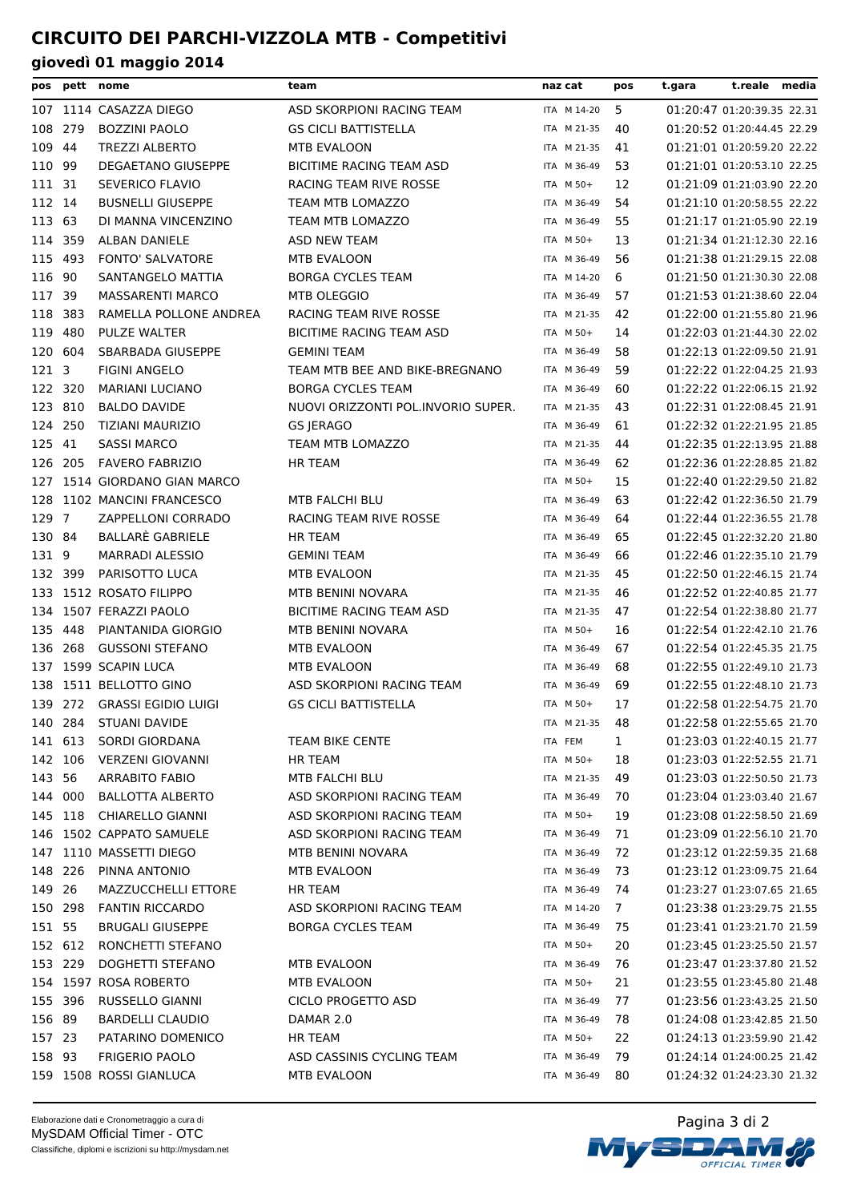| pos              |         | pett nome                   | team                               | naz cat     | pos | t.reale media<br>t.gara    |
|------------------|---------|-----------------------------|------------------------------------|-------------|-----|----------------------------|
|                  |         | 107 1114 CASAZZA DIEGO      | ASD SKORPIONI RACING TEAM          | ITA M 14-20 | 5   | 01:20:47 01:20:39.35 22.31 |
| 108              | 279     | <b>BOZZINI PAOLO</b>        | <b>GS CICLI BATTISTELLA</b>        | ITA M 21-35 | 40  | 01:20:52 01:20:44.45 22.29 |
| 109              | 44      | <b>TREZZI ALBERTO</b>       | MTB EVALOON                        | ITA M 21-35 | 41  | 01:21:01 01:20:59.20 22.22 |
| 110              | -99     | <b>DEGAETANO GIUSEPPE</b>   | BICITIME RACING TEAM ASD           | ITA M 36-49 | 53  | 01:21:01 01:20:53.10 22.25 |
| 111 31           |         | SEVERICO FLAVIO             | RACING TEAM RIVE ROSSE             | ITA M 50+   | 12  | 01:21:09 01:21:03.90 22.20 |
| 112 14           |         | <b>BUSNELLI GIUSEPPE</b>    | <b>TEAM MTB LOMAZZO</b>            | ITA M 36-49 | 54  | 01:21:10 01:20:58.55 22.22 |
| 113 63           |         | DI MANNA VINCENZINO         | TEAM MTB LOMAZZO                   | ITA M 36-49 | 55  | 01:21:17 01:21:05.90 22.19 |
|                  | 114 359 | ALBAN DANIELE               | <b>ASD NEW TEAM</b>                | ITA M 50+   | 13  | 01:21:34 01:21:12.30 22.16 |
| 115 493          |         | <b>FONTO' SALVATORE</b>     | MTB EVALOON                        | ITA M 36-49 | 56  | 01:21:38 01:21:29.15 22.08 |
| 116 90           |         | SANTANGELO MATTIA           | <b>BORGA CYCLES TEAM</b>           | ITA M 14-20 | 6   | 01:21:50 01:21:30.30 22.08 |
| 117 39           |         | <b>MASSARENTI MARCO</b>     | MTB OLEGGIO                        | ITA M 36-49 | 57  | 01:21:53 01:21:38.60 22.04 |
|                  | 118 383 | RAMELLA POLLONE ANDREA      | RACING TEAM RIVE ROSSE             | ITA M 21-35 | 42  | 01:22:00 01:21:55.80 21.96 |
| 119              | 480     | PULZE WALTER                | <b>BICITIME RACING TEAM ASD</b>    | ITA M 50+   | 14  | 01:22:03 01:21:44.30 22.02 |
| 120              | 604     | SBARBADA GIUSEPPE           | <b>GEMINI TEAM</b>                 | ITA M 36-49 | 58  | 01:22:13 01:22:09.50 21.91 |
| 121 <sub>3</sub> |         | <b>FIGINI ANGELO</b>        | TEAM MTB BEE AND BIKE-BREGNANO     | ITA M 36-49 | 59  | 01:22:22 01:22:04.25 21.93 |
| 122 320          |         | <b>MARIANI LUCIANO</b>      | <b>BORGA CYCLES TEAM</b>           | ITA M 36-49 | 60  | 01:22:22 01:22:06.15 21.92 |
| 123 810          |         | <b>BALDO DAVIDE</b>         | NUOVI ORIZZONTI POL.INVORIO SUPER. | ITA M 21-35 | 43  | 01:22:31 01:22:08.45 21.91 |
|                  | 124 250 | TIZIANI MAURIZIO            | <b>GS JERAGO</b>                   | ITA M 36-49 | 61  | 01:22:32 01:22:21.95 21.85 |
| 125 41           |         | <b>SASSI MARCO</b>          | TEAM MTB LOMAZZO                   | ITA M 21-35 | 44  | 01:22:35 01:22:13.95 21.88 |
|                  | 126 205 | <b>FAVERO FABRIZIO</b>      | <b>HR TEAM</b>                     | ITA M 36-49 | 62  | 01:22:36 01:22:28.85 21.82 |
| 127              |         | 1514 GIORDANO GIAN MARCO    |                                    | ITA M 50+   | 15  | 01:22:40 01:22:29.50 21.82 |
|                  |         | 128 1102 MANCINI FRANCESCO  | MTB FALCHI BLU                     | ITA M 36-49 | 63  | 01:22:42 01:22:36.50 21.79 |
| 129 7            |         | ZAPPELLONI CORRADO          | RACING TEAM RIVE ROSSE             | ITA M 36-49 | 64  | 01:22:44 01:22:36.55 21.78 |
| 130 84           |         | BALLARÈ GABRIELE            | <b>HR TEAM</b>                     | ITA M 36-49 | 65  | 01:22:45 01:22:32.20 21.80 |
| 131 9            |         | <b>MARRADI ALESSIO</b>      | <b>GEMINI TEAM</b>                 | ITA M 36-49 | 66  | 01:22:46 01:22:35.10 21.79 |
|                  | 132 399 | PARISOTTO LUCA              | MTB EVALOON                        | ITA M 21-35 | 45  | 01:22:50 01:22:46.15 21.74 |
| 133              |         | 1512 ROSATO FILIPPO         | MTB BENINI NOVARA                  | ITA M 21-35 | 46  | 01:22:52 01:22:40.85 21.77 |
|                  |         | 134 1507 FERAZZI PAOLO      | BICITIME RACING TEAM ASD           | ITA M 21-35 | 47  | 01:22:54 01:22:38.80 21.77 |
| 135 448          |         | PIANTANIDA GIORGIO          | MTB BENINI NOVARA                  | ITA M 50+   | 16  | 01:22:54 01:22:42.10 21.76 |
|                  | 136 268 | <b>GUSSONI STEFANO</b>      | MTB EVALOON                        | ITA M 36-49 | 67  | 01:22:54 01:22:45.35 21.75 |
| 137              |         | 1599 SCAPIN LUCA            | MTB EVALOON                        | ITA M 36-49 | 68  | 01:22:55 01:22:49.10 21.73 |
|                  |         | 138 1511 BELLOTTO GINO      | ASD SKORPIONI RACING TEAM          | ITA M 36-49 | 69  | 01:22:55 01:22:48.10 21.73 |
|                  |         | 139 272 GRASSI EGIDIO LUIGI | <b>GS CICLI BATTISTELLA</b>        | ITA M 50+   | 17  | 01:22:58 01:22:54.75 21.70 |
| 140              | 284     | <b>STUANI DAVIDE</b>        |                                    | ITA M 21-35 | 48  | 01:22:58 01:22:55.65 21.70 |
|                  | 141 613 | SORDI GIORDANA              | TEAM BIKE CENTE                    | ITA FEM     | 1   | 01:23:03 01:22:40.15 21.77 |
|                  | 142 106 | <b>VERZENI GIOVANNI</b>     | <b>HR TEAM</b>                     | ITA M 50+   | 18  | 01:23:03 01:22:52.55 21.71 |
| 143 56           |         | ARRABITO FABIO              | MTB FALCHI BLU                     | ITA M 21-35 | 49  | 01:23:03 01:22:50.50 21.73 |
|                  | 144 000 | <b>BALLOTTA ALBERTO</b>     | ASD SKORPIONI RACING TEAM          | ITA M 36-49 | 70  | 01:23:04 01:23:03.40 21.67 |
|                  | 145 118 | CHIARELLO GIANNI            | ASD SKORPIONI RACING TEAM          | ITA M 50+   | 19  | 01:23:08 01:22:58.50 21.69 |
|                  |         | 146 1502 CAPPATO SAMUELE    | ASD SKORPIONI RACING TEAM          | ITA M 36-49 | 71  | 01:23:09 01:22:56.10 21.70 |
|                  |         | 147 1110 MASSETTI DIEGO     | MTB BENINI NOVARA                  | ITA M 36-49 | 72  | 01:23:12 01:22:59.35 21.68 |
|                  | 148 226 | PINNA ANTONIO               | MTB EVALOON                        | ITA M 36-49 | 73  | 01:23:12 01:23:09.75 21.64 |
| 149 26           |         | MAZZUCCHELLI ETTORE         | HR TEAM                            | ITA M 36-49 | 74  | 01:23:27 01:23:07.65 21.65 |
|                  | 150 298 | <b>FANTIN RICCARDO</b>      | ASD SKORPIONI RACING TEAM          | ITA M 14-20 | 7   | 01:23:38 01:23:29.75 21.55 |
| 151 55           |         | <b>BRUGALI GIUSEPPE</b>     | <b>BORGA CYCLES TEAM</b>           | ITA M 36-49 | 75  | 01:23:41 01:23:21.70 21.59 |
|                  | 152 612 | RONCHETTI STEFANO           |                                    | ITA M 50+   | 20  | 01:23:45 01:23:25.50 21.57 |
|                  | 153 229 | DOGHETTI STEFANO            | MTB EVALOON                        | ITA M 36-49 | 76  | 01:23:47 01:23:37.80 21.52 |
|                  |         | 154 1597 ROSA ROBERTO       | MTB EVALOON                        | ITA M 50+   | 21  | 01:23:55 01:23:45.80 21.48 |
| 155 396          |         | RUSSELLO GIANNI             | CICLO PROGETTO ASD                 | ITA M 36-49 | 77  | 01:23:56 01:23:43.25 21.50 |
| 156 89           |         | <b>BARDELLI CLAUDIO</b>     | DAMAR 2.0                          | ITA M 36-49 | 78  | 01:24:08 01:23:42.85 21.50 |
| 157 23           |         | PATARINO DOMENICO           | <b>HR TEAM</b>                     | ITA M 50+   | 22  | 01:24:13 01:23:59.90 21.42 |
| 158 93           |         | <b>FRIGERIO PAOLO</b>       | ASD CASSINIS CYCLING TEAM          | ITA M 36-49 | 79  | 01:24:14 01:24:00.25 21.42 |
|                  |         | 159 1508 ROSSI GIANLUCA     | MTB EVALOON                        | ITA M 36-49 | 80  | 01:24:32 01:24:23.30 21.32 |

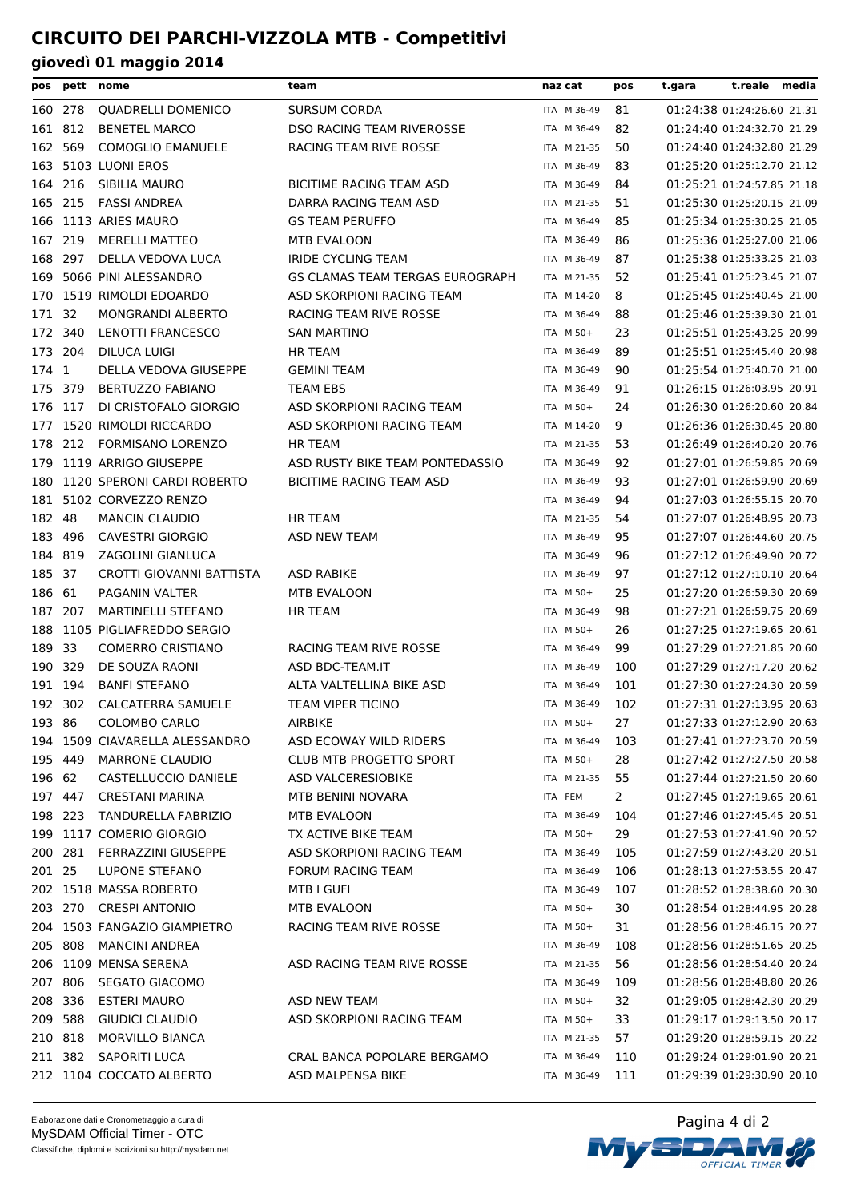|         |         | pos pett nome                  | team                            | naz cat     | pos | t.gara | t.reale media              |  |
|---------|---------|--------------------------------|---------------------------------|-------------|-----|--------|----------------------------|--|
| 160 278 |         | <b>QUADRELLI DOMENICO</b>      | <b>SURSUM CORDA</b>             | ITA M 36-49 | 81  |        | 01:24:38 01:24:26.60 21.31 |  |
| 161 812 |         | <b>BENETEL MARCO</b>           | DSO RACING TEAM RIVEROSSE       | ITA M 36-49 | 82  |        | 01:24:40 01:24:32.70 21.29 |  |
| 162     | 569     | <b>COMOGLIO EMANUELE</b>       | RACING TEAM RIVE ROSSE          | ITA M 21-35 | 50  |        | 01:24:40 01:24:32.80 21.29 |  |
|         |         | 163 5103 LUONI EROS            |                                 | ITA M 36-49 | 83  |        | 01:25:20 01:25:12.70 21.12 |  |
| 164 216 |         | SIBILIA MAURO                  | <b>BICITIME RACING TEAM ASD</b> | ITA M 36-49 | 84  |        | 01:25:21 01:24:57.85 21.18 |  |
| 165 215 |         | <b>FASSI ANDREA</b>            | DARRA RACING TEAM ASD           | ITA M 21-35 | 51  |        | 01:25:30 01:25:20.15 21.09 |  |
|         |         | 166 1113 ARIES MAURO           | <b>GS TEAM PERUFFO</b>          | ITA M 36-49 | 85  |        | 01:25:34 01:25:30.25 21.05 |  |
| 167 219 |         | <b>MERELLI MATTEO</b>          | MTB EVALOON                     | ITA M 36-49 | 86  |        | 01:25:36 01:25:27.00 21.06 |  |
| 168 297 |         | DELLA VEDOVA LUCA              | <b>IRIDE CYCLING TEAM</b>       | ITA M 36-49 | 87  |        | 01:25:38 01:25:33.25 21.03 |  |
| 169     |         | 5066 PINI ALESSANDRO           | GS CLAMAS TEAM TERGAS EUROGRAPH | ITA M 21-35 | 52  |        | 01:25:41 01:25:23.45 21.07 |  |
|         |         | 170 1519 RIMOLDI EDOARDO       | ASD SKORPIONI RACING TEAM       | ITA M 14-20 | 8   |        | 01:25:45 01:25:40.45 21.00 |  |
| 171 32  |         | <b>MONGRANDI ALBERTO</b>       | RACING TEAM RIVE ROSSE          | ITA M 36-49 | 88  |        | 01:25:46 01:25:39.30 21.01 |  |
| 172 340 |         | LENOTTI FRANCESCO              | <b>SAN MARTINO</b>              | ITA M 50+   | 23  |        | 01:25:51 01:25:43.25 20.99 |  |
| 173 204 |         | DILUCA LUIGI                   | <b>HR TEAM</b>                  | ITA M 36-49 | 89  |        | 01:25:51 01:25:45.40 20.98 |  |
| 174 1   |         | DELLA VEDOVA GIUSEPPE          | <b>GEMINI TEAM</b>              | ITA M 36-49 | 90  |        | 01:25:54 01:25:40.70 21.00 |  |
| 175 379 |         | <b>BERTUZZO FABIANO</b>        | <b>TEAM EBS</b>                 | ITA M 36-49 | 91  |        | 01:26:15 01:26:03.95 20.91 |  |
| 176 117 |         | DI CRISTOFALO GIORGIO          | ASD SKORPIONI RACING TEAM       | ITA M 50+   | 24  |        | 01:26:30 01:26:20.60 20.84 |  |
|         |         | 177 1520 RIMOLDI RICCARDO      | ASD SKORPIONI RACING TEAM       | ITA M 14-20 | 9   |        | 01:26:36 01:26:30.45 20.80 |  |
| 178     | 212     | <b>FORMISANO LORENZO</b>       | <b>HR TEAM</b>                  | ITA M 21-35 | 53  |        | 01:26:49 01:26:40.20 20.76 |  |
| 179     |         | 1119 ARRIGO GIUSEPPE           | ASD RUSTY BIKE TEAM PONTEDASSIO | ITA M 36-49 | 92  |        | 01:27:01 01:26:59.85 20.69 |  |
|         |         | 180 1120 SPERONI CARDI ROBERTO | BICITIME RACING TEAM ASD        | ITA M 36-49 | 93  |        | 01:27:01 01:26:59.90 20.69 |  |
| 181     |         | 5102 CORVEZZO RENZO            |                                 | ITA M 36-49 | 94  |        | 01:27:03 01:26:55.15 20.70 |  |
| 182 48  |         | <b>MANCIN CLAUDIO</b>          | <b>HR TEAM</b>                  | ITA M 21-35 | 54  |        | 01:27:07 01:26:48.95 20.73 |  |
| 183 496 |         | <b>CAVESTRI GIORGIO</b>        | ASD NEW TEAM                    | ITA M 36-49 | 95  |        | 01:27:07 01:26:44.60 20.75 |  |
| 184 819 |         | ZAGOLINI GIANLUCA              |                                 | ITA M 36-49 | 96  |        | 01:27:12 01:26:49.90 20.72 |  |
| 185 37  |         | CROTTI GIOVANNI BATTISTA       | <b>ASD RABIKE</b>               | ITA M 36-49 | 97  |        | 01:27:12 01:27:10.10 20.64 |  |
| 186 61  |         | PAGANIN VALTER                 | MTB EVALOON                     | ITA M 50+   | 25  |        | 01:27:20 01:26:59.30 20.69 |  |
| 187 207 |         | <b>MARTINELLI STEFANO</b>      | <b>HR TEAM</b>                  | ITA M 36-49 | 98  |        | 01:27:21 01:26:59.75 20.69 |  |
|         |         | 188 1105 PIGLIAFREDDO SERGIO   |                                 | ITA M 50+   | 26  |        | 01:27:25 01:27:19.65 20.61 |  |
| 189 33  |         | <b>COMERRO CRISTIANO</b>       | RACING TEAM RIVE ROSSE          | ITA M 36-49 | 99  |        | 01:27:29 01:27:21.85 20.60 |  |
| 190 329 |         | DE SOUZA RAONI                 | ASD BDC-TEAM.IT                 | ITA M 36-49 | 100 |        | 01:27:29 01:27:17.20 20.62 |  |
| 191 194 |         | <b>BANFI STEFANO</b>           | ALTA VALTELLINA BIKE ASD        | ITA M 36-49 | 101 |        | 01:27:30 01:27:24.30 20.59 |  |
|         | 192 302 | <b>CALCATERRA SAMUELE</b>      | <b>TEAM VIPER TICINO</b>        | ITA M 36-49 | 102 |        | 01:27:31 01:27:13.95 20.63 |  |
|         | 193 86  | COLOMBO CARLO                  | AIRBIKE                         | ITA M 50+   | 27  |        | 01:27:33 01:27:12.90 20.63 |  |
|         |         | 194 1509 CIAVARELLA ALESSANDRO | ASD ECOWAY WILD RIDERS          | ITA M 36-49 | 103 |        | 01:27:41 01:27:23.70 20.59 |  |
| 195 449 |         | <b>MARRONE CLAUDIO</b>         | <b>CLUB MTB PROGETTO SPORT</b>  | ITA M 50+   | 28  |        | 01:27:42 01:27:27.50 20.58 |  |
| 196 62  |         | CASTELLUCCIO DANIELE           | ASD VALCERESIOBIKE              | ITA M 21-35 | 55  |        | 01:27:44 01:27:21.50 20.60 |  |
|         | 197 447 | <b>CRESTANI MARINA</b>         | MTB BENINI NOVARA               | ITA FEM     | 2   |        | 01:27:45 01:27:19.65 20.61 |  |
|         | 198 223 | TANDURELLA FABRIZIO            | MTB EVALOON                     | ITA M 36-49 | 104 |        | 01:27:46 01:27:45.45 20.51 |  |
|         |         | 199 1117 COMERIO GIORGIO       | TX ACTIVE BIKE TEAM             | ITA M 50+   | 29  |        | 01:27:53 01:27:41.90 20.52 |  |
| 200 281 |         | FERRAZZINI GIUSEPPE            | ASD SKORPIONI RACING TEAM       | ITA M 36-49 | 105 |        | 01:27:59 01:27:43.20 20.51 |  |
| 201 25  |         | LUPONE STEFANO                 | <b>FORUM RACING TEAM</b>        | ITA M 36-49 | 106 |        | 01:28:13 01:27:53.55 20.47 |  |
|         |         | 202 1518 MASSA ROBERTO         | <b>MTB I GUFI</b>               | ITA M 36-49 | 107 |        | 01:28:52 01:28:38.60 20.30 |  |
|         | 203 270 | <b>CRESPI ANTONIO</b>          | MTB EVALOON                     | ITA M 50+   | 30  |        | 01:28:54 01:28:44.95 20.28 |  |
|         |         | 204 1503 FANGAZIO GIAMPIETRO   | RACING TEAM RIVE ROSSE          | ITA M 50+   | 31  |        | 01:28:56 01:28:46.15 20.27 |  |
| 205 808 |         | MANCINI ANDREA                 |                                 | ITA M 36-49 | 108 |        | 01:28:56 01:28:51.65 20.25 |  |
|         |         | 206 1109 MENSA SERENA          | ASD RACING TEAM RIVE ROSSE      | ITA M 21-35 | 56  |        | 01:28:56 01:28:54.40 20.24 |  |
| 207 806 |         | <b>SEGATO GIACOMO</b>          |                                 | ITA M 36-49 | 109 |        | 01:28:56 01:28:48.80 20.26 |  |
|         | 208 336 | <b>ESTERI MAURO</b>            | ASD NEW TEAM                    | ITA M 50+   | 32  |        | 01:29:05 01:28:42.30 20.29 |  |
|         | 209 588 | <b>GIUDICI CLAUDIO</b>         | ASD SKORPIONI RACING TEAM       | ITA M 50+   | 33  |        | 01:29:17 01:29:13.50 20.17 |  |
| 210 818 |         | MORVILLO BIANCA                |                                 | ITA M 21-35 | 57  |        | 01:29:20 01:28:59.15 20.22 |  |
|         | 211 382 | SAPORITI LUCA                  | CRAL BANCA POPOLARE BERGAMO     | ITA M 36-49 | 110 |        | 01:29:24 01:29:01.90 20.21 |  |
|         |         | 212 1104 COCCATO ALBERTO       | ASD MALPENSA BIKE               | ITA M 36-49 | 111 |        | 01:29:39 01:29:30.90 20.10 |  |

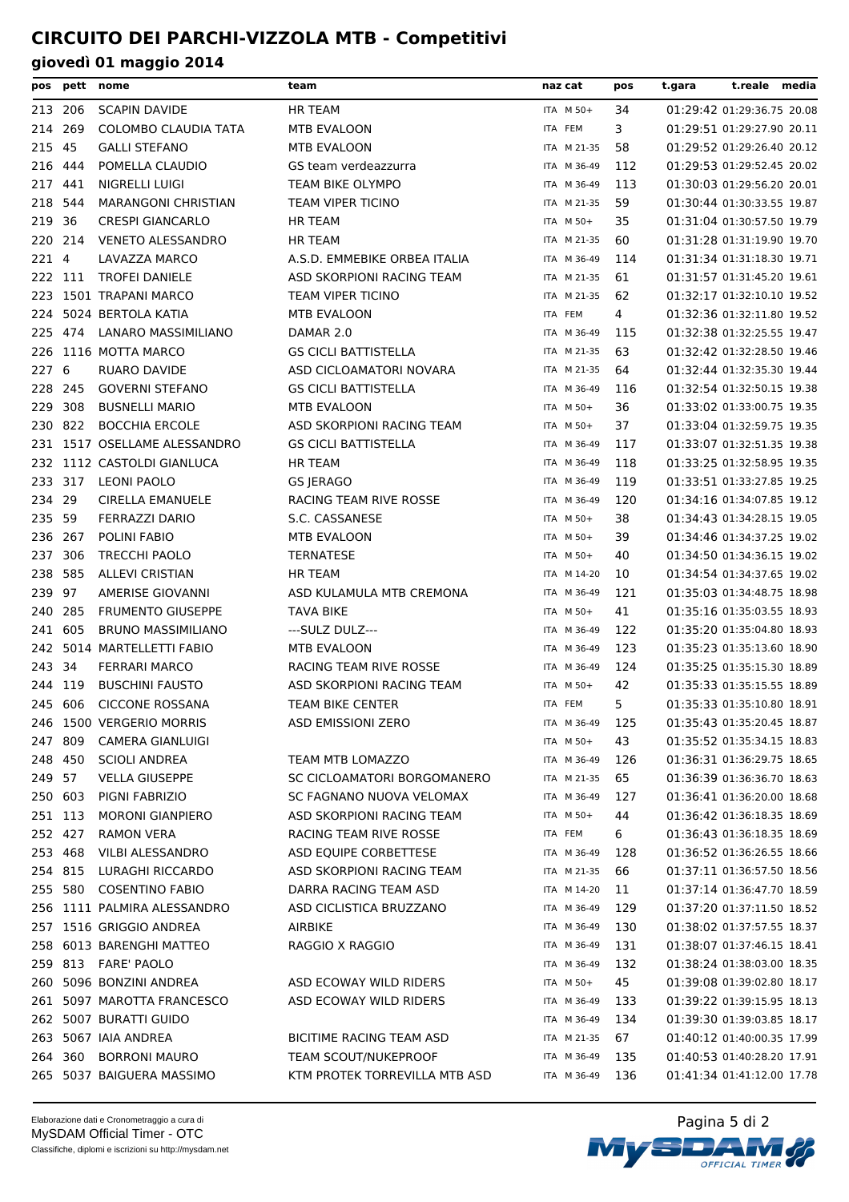|         | pos pett | nome                         | team                          | naz cat     | pos | t.gara | t.reale media              |  |
|---------|----------|------------------------------|-------------------------------|-------------|-----|--------|----------------------------|--|
| 213 206 |          | <b>SCAPIN DAVIDE</b>         | HR TEAM                       | ITA M 50+   | 34  |        | 01:29:42 01:29:36.75 20.08 |  |
| 214 269 |          | <b>COLOMBO CLAUDIA TATA</b>  | <b>MTB EVALOON</b>            | ITA FEM     | 3   |        | 01:29:51 01:29:27.90 20.11 |  |
| 215     | 45       | <b>GALLI STEFANO</b>         | MTB EVALOON                   | ITA M 21-35 | 58  |        | 01:29:52 01:29:26.40 20.12 |  |
| 216 444 |          | POMELLA CLAUDIO              | GS team verdeazzurra          | ITA M 36-49 | 112 |        | 01:29:53 01:29:52.45 20.02 |  |
| 217     | 441      | NIGRELLI LUIGI               | TEAM BIKE OLYMPO              | ITA M 36-49 | 113 |        | 01:30:03 01:29:56.20 20.01 |  |
| 218     | 544      | <b>MARANGONI CHRISTIAN</b>   | <b>TEAM VIPER TICINO</b>      | ITA M 21-35 | 59  |        | 01:30:44 01:30:33.55 19.87 |  |
| 219 36  |          | <b>CRESPI GIANCARLO</b>      | <b>HR TEAM</b>                | ITA M 50+   | 35  |        | 01:31:04 01:30:57.50 19.79 |  |
|         | 220 214  | <b>VENETO ALESSANDRO</b>     | <b>HR TEAM</b>                | ITA M 21-35 | 60  |        | 01:31:28 01:31:19.90 19.70 |  |
| 221 4   |          | LAVAZZA MARCO                | A.S.D. EMMEBIKE ORBEA ITALIA  | ITA M 36-49 | 114 |        | 01:31:34 01:31:18.30 19.71 |  |
|         | 222 111  | <b>TROFEI DANIELE</b>        | ASD SKORPIONI RACING TEAM     | ITA M 21-35 | 61  |        | 01:31:57 01:31:45.20 19.61 |  |
|         |          | 223 1501 TRAPANI MARCO       | <b>TEAM VIPER TICINO</b>      | ITA M 21-35 | 62  |        | 01:32:17 01:32:10.10 19.52 |  |
| 224     |          | 5024 BERTOLA KATIA           | MTB EVALOON                   | ITA FEM     | 4   |        | 01:32:36 01:32:11.80 19.52 |  |
| 225 474 |          | LANARO MASSIMILIANO          | DAMAR 2.0                     | ITA M 36-49 | 115 |        | 01:32:38 01:32:25.55 19.47 |  |
|         |          | 226 1116 MOTTA MARCO         | <b>GS CICLI BATTISTELLA</b>   | ITA M 21-35 | 63  |        | 01:32:42 01:32:28.50 19.46 |  |
| 227     | 6        | RUARO DAVIDE                 | ASD CICLOAMATORI NOVARA       | ITA M 21-35 | 64  |        | 01:32:44 01:32:35.30 19.44 |  |
| 228 245 |          | <b>GOVERNI STEFANO</b>       | <b>GS CICLI BATTISTELLA</b>   | ITA M 36-49 | 116 |        | 01:32:54 01:32:50.15 19.38 |  |
| 229     | 308      | <b>BUSNELLI MARIO</b>        | MTB EVALOON                   | ITA M 50+   | 36  |        | 01:33:02 01:33:00.75 19.35 |  |
| 230 822 |          | <b>BOCCHIA ERCOLE</b>        | ASD SKORPIONI RACING TEAM     | ITA M 50+   | 37  |        | 01:33:04 01:32:59.75 19.35 |  |
|         |          | 231 1517 OSELLAME ALESSANDRO | <b>GS CICLI BATTISTELLA</b>   | ITA M 36-49 | 117 |        | 01:33:07 01:32:51.35 19.38 |  |
|         |          | 232 1112 CASTOLDI GIANLUCA   | <b>HR TEAM</b>                | ITA M 36-49 | 118 |        | 01:33:25 01:32:58.95 19.35 |  |
| 233 317 |          | <b>LEONI PAOLO</b>           | <b>GS JERAGO</b>              | ITA M 36-49 | 119 |        | 01:33:51 01:33:27.85 19.25 |  |
| 234 29  |          | <b>CIRELLA EMANUELE</b>      | RACING TEAM RIVE ROSSE        | ITA M 36-49 | 120 |        | 01:34:16 01:34:07.85 19.12 |  |
| 235 59  |          | <b>FERRAZZI DARIO</b>        | S.C. CASSANESE                | ITA M 50+   | 38  |        | 01:34:43 01:34:28.15 19.05 |  |
| 236 267 |          | <b>POLINI FABIO</b>          | MTB EVALOON                   | ITA M 50+   | 39  |        | 01:34:46 01:34:37.25 19.02 |  |
| 237 306 |          | <b>TRECCHI PAOLO</b>         | <b>TERNATESE</b>              | ITA M 50+   | 40  |        | 01:34:50 01:34:36.15 19.02 |  |
| 238     | 585      | <b>ALLEVI CRISTIAN</b>       | <b>HR TEAM</b>                | ITA M 14-20 | 10  |        | 01:34:54 01:34:37.65 19.02 |  |
| 239     | 97       | AMERISE GIOVANNI             | ASD KULAMULA MTB CREMONA      | ITA M 36-49 | 121 |        | 01:35:03 01:34:48.75 18.98 |  |
| 240     | 285      | <b>FRUMENTO GIUSEPPE</b>     | TAVA BIKE                     | ITA M 50+   | 41  |        | 01:35:16 01:35:03.55 18.93 |  |
| 241     | 605      | <b>BRUNO MASSIMILIANO</b>    | ---SULZ DULZ---               | ITA M 36-49 | 122 |        | 01:35:20 01:35:04.80 18.93 |  |
|         |          | 242 5014 MARTELLETTI FABIO   | MTB EVALOON                   | ITA M 36-49 | 123 |        | 01:35:23 01:35:13.60 18.90 |  |
| 243 34  |          | <b>FERRARI MARCO</b>         | RACING TEAM RIVE ROSSE        | ITA M 36-49 | 124 |        | 01:35:25 01:35:15.30 18.89 |  |
| 244 119 |          | <b>BUSCHINI FAUSTO</b>       | ASD SKORPIONI RACING TEAM     | ITA M 50+   | 42  |        | 01:35:33 01:35:15.55 18.89 |  |
|         | 245 606  | CICCONE ROSSANA              | <b>TEAM BIKE CENTER</b>       | ITA FEM     | 5   |        | 01:35:33 01:35:10.80 18.91 |  |
|         |          | 246 1500 VERGERIO MORRIS     | ASD EMISSIONI ZERO            | ITA M 36-49 | 125 |        | 01:35:43 01:35:20.45 18.87 |  |
|         | 247 809  | <b>CAMERA GIANLUIGI</b>      |                               | ITA M 50+   | 43  |        | 01:35:52 01:35:34.15 18.83 |  |
| 248 450 |          | <b>SCIOLI ANDREA</b>         | TEAM MTB LOMAZZO              | ITA M 36-49 | 126 |        | 01:36:31 01:36:29.75 18.65 |  |
| 249 57  |          | <b>VELLA GIUSEPPE</b>        | SC CICLOAMATORI BORGOMANERO   | ITA M 21-35 | 65  |        | 01:36:39 01:36:36.70 18.63 |  |
| 250 603 |          | PIGNI FABRIZIO               | SC FAGNANO NUOVA VELOMAX      | ITA M 36-49 | 127 |        | 01:36:41 01:36:20.00 18.68 |  |
| 251 113 |          | <b>MORONI GIANPIERO</b>      | ASD SKORPIONI RACING TEAM     | ITA M 50+   | 44  |        | 01:36:42 01:36:18.35 18.69 |  |
| 252 427 |          | <b>RAMON VERA</b>            | RACING TEAM RIVE ROSSE        | ITA FEM     | 6   |        | 01:36:43 01:36:18.35 18.69 |  |
| 253 468 |          | <b>VILBI ALESSANDRO</b>      | ASD EQUIPE CORBETTESE         | ITA M 36-49 | 128 |        | 01:36:52 01:36:26.55 18.66 |  |
| 254 815 |          | LURAGHI RICCARDO             | ASD SKORPIONI RACING TEAM     | ITA M 21-35 | 66  |        | 01:37:11 01:36:57.50 18.56 |  |
|         | 255 580  | <b>COSENTINO FABIO</b>       | DARRA RACING TEAM ASD         | ITA M 14-20 | 11  |        | 01:37:14 01:36:47.70 18.59 |  |
|         |          | 256 1111 PALMIRA ALESSANDRO  | ASD CICLISTICA BRUZZANO       | ITA M 36-49 | 129 |        | 01:37:20 01:37:11.50 18.52 |  |
|         |          | 257 1516 GRIGGIO ANDREA      | AIRBIKE                       | ITA M 36-49 | 130 |        | 01:38:02 01:37:57.55 18.37 |  |
| 258     |          | 6013 BARENGHI MATTEO         | RAGGIO X RAGGIO               | ITA M 36-49 | 131 |        | 01:38:07 01:37:46.15 18.41 |  |
|         |          | 259 813 FARE' PAOLO          |                               | ITA M 36-49 | 132 |        | 01:38:24 01:38:03.00 18.35 |  |
|         |          | 260 5096 BONZINI ANDREA      | ASD ECOWAY WILD RIDERS        | ITA M 50+   | 45  |        | 01:39:08 01:39:02.80 18.17 |  |
|         |          | 261 5097 MAROTTA FRANCESCO   | ASD ECOWAY WILD RIDERS        | ITA M 36-49 | 133 |        | 01:39:22 01:39:15.95 18.13 |  |
|         |          | 262 5007 BURATTI GUIDO       |                               | ITA M 36-49 | 134 |        | 01:39:30 01:39:03.85 18.17 |  |
|         |          | 263 5067 IAIA ANDREA         | BICITIME RACING TEAM ASD      | ITA M 21-35 | 67  |        | 01:40:12 01:40:00.35 17.99 |  |
|         | 264 360  | <b>BORRONI MAURO</b>         | <b>TEAM SCOUT/NUKEPROOF</b>   | ITA M 36-49 | 135 |        | 01:40:53 01:40:28.20 17.91 |  |
|         |          | 265 5037 BAIGUERA MASSIMO    | KTM PROTEK TORREVILLA MTB ASD | ITA M 36-49 | 136 |        | 01:41:34 01:41:12.00 17.78 |  |

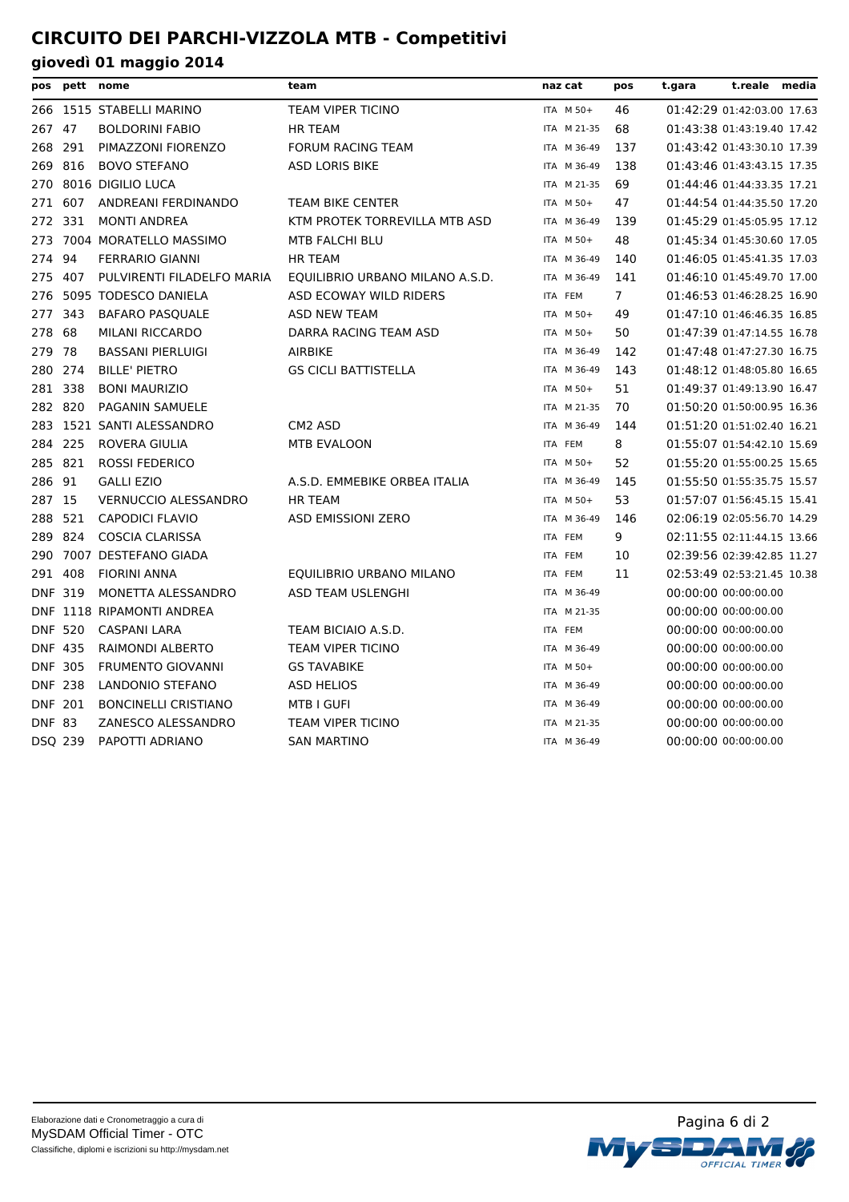| pos            | pett           | nome                        | team                            | naz cat     | pos            | t.gara | t.reale                    | media |
|----------------|----------------|-----------------------------|---------------------------------|-------------|----------------|--------|----------------------------|-------|
|                |                | 266 1515 STABELLI MARINO    | TEAM VIPER TICINO               | ITA M 50+   | 46             |        | 01:42:29 01:42:03.00 17.63 |       |
| 267            | 47             | <b>BOLDORINI FABIO</b>      | <b>HR TEAM</b>                  | ITA M 21-35 | 68             |        | 01:43:38 01:43:19.40 17.42 |       |
| 268 291        |                | PIMAZZONI FIORENZO          | <b>FORUM RACING TEAM</b>        | ITA M 36-49 | 137            |        | 01:43:42 01:43:30.10 17.39 |       |
| 269            | 816            | <b>BOVO STEFANO</b>         | <b>ASD LORIS BIKE</b>           | ITA M 36-49 | 138            |        | 01:43:46 01:43:43.15 17.35 |       |
| 270            |                | 8016 DIGILIO LUCA           |                                 | ITA M 21-35 | 69             |        | 01:44:46 01:44:33.35 17.21 |       |
| 271            | 607            | ANDREANI FERDINANDO         | <b>TEAM BIKE CENTER</b>         | ITA M 50+   | 47             |        | 01:44:54 01:44:35.50 17.20 |       |
| 272            | 331            | <b>MONTI ANDREA</b>         | KTM PROTEK TORREVILLA MTB ASD   | ITA M 36-49 | 139            |        | 01:45:29 01:45:05.95 17.12 |       |
| 273            |                | 7004 MORATELLO MASSIMO      | MTB FALCHI BLU                  | ITA M 50+   | 48             |        | 01:45:34 01:45:30.60 17.05 |       |
| 274            | 94             | <b>FERRARIO GIANNI</b>      | <b>HR TEAM</b>                  | ITA M 36-49 | 140            |        | 01:46:05 01:45:41.35 17.03 |       |
| 275            | 407            | PULVIRENTI FILADELFO MARIA  | EQUILIBRIO URBANO MILANO A.S.D. | ITA M 36-49 | 141            |        | 01:46:10 01:45:49.70 17.00 |       |
| 276            |                | 5095 TODESCO DANIELA        | ASD ECOWAY WILD RIDERS          | ITA FEM     | $\overline{7}$ |        | 01:46:53 01:46:28.25 16.90 |       |
| 277            | 343            | <b>BAFARO PASQUALE</b>      | <b>ASD NEW TEAM</b>             | ITA M 50+   | 49             |        | 01:47:10 01:46:46.35 16.85 |       |
| 278            | 68             | <b>MILANI RICCARDO</b>      | DARRA RACING TEAM ASD           | ITA M 50+   | 50             |        | 01:47:39 01:47:14.55 16.78 |       |
| 279            | 78             | <b>BASSANI PIERLUIGI</b>    | <b>AIRBIKE</b>                  | ITA M 36-49 | 142            |        | 01:47:48 01:47:27.30 16.75 |       |
| 280            | 274            | <b>BILLE' PIETRO</b>        | <b>GS CICLI BATTISTELLA</b>     | ITA M 36-49 | 143            |        | 01:48:12 01:48:05.80 16.65 |       |
| 281 338        |                | <b>BONI MAURIZIO</b>        |                                 | ITA M 50+   | 51             |        | 01:49:37 01:49:13.90 16.47 |       |
| 282 820        |                | <b>PAGANIN SAMUELE</b>      |                                 | ITA M 21-35 | 70             |        | 01:50:20 01:50:00.95 16.36 |       |
| 283            |                | 1521 SANTI ALESSANDRO       | CM <sub>2</sub> ASD             | ITA M 36-49 | 144            |        | 01:51:20 01:51:02.40 16.21 |       |
| 284 225        |                | ROVERA GIULIA               | <b>MTB EVALOON</b>              | ITA FEM     | 8              |        | 01:55:07 01:54:42.10 15.69 |       |
| 285            | 821            | <b>ROSSI FEDERICO</b>       |                                 | ITA M 50+   | 52             |        | 01:55:20 01:55:00.25 15.65 |       |
| 286 91         |                | <b>GALLI EZIO</b>           | A.S.D. EMMEBIKE ORBEA ITALIA    | ITA M 36-49 | 145            |        | 01:55:50 01:55:35.75 15.57 |       |
| 287 15         |                | <b>VERNUCCIO ALESSANDRO</b> | <b>HR TEAM</b>                  | ITA M 50+   | 53             |        | 01:57:07 01:56:45.15 15.41 |       |
| 288            | 521            | <b>CAPODICI FLAVIO</b>      | <b>ASD EMISSIONI ZERO</b>       | ITA M 36-49 | 146            |        | 02:06:19 02:05:56.70 14.29 |       |
| 289            | 824            | <b>COSCIA CLARISSA</b>      |                                 | ITA FEM     | 9              |        | 02:11:55 02:11:44.15 13.66 |       |
| 290            |                | 7007 DESTEFANO GIADA        |                                 | ITA FEM     | 10             |        | 02:39:56 02:39:42.85 11.27 |       |
| 291 408        |                | <b>FIORINI ANNA</b>         | EQUILIBRIO URBANO MILANO        | ITA FEM     | 11             |        | 02:53:49 02:53:21.45 10.38 |       |
| <b>DNF 319</b> |                | MONETTA ALESSANDRO          | ASD TEAM USLENGHI               | ITA M 36-49 |                |        | 00:00:00 00:00:00.00       |       |
|                |                | DNF 1118 RIPAMONTI ANDREA   |                                 | ITA M 21-35 |                |        | 00:00:00 00:00:00.00       |       |
|                | <b>DNF 520</b> | <b>CASPANI LARA</b>         | TEAM BICIAIO A.S.D.             | ITA FEM     |                |        | 00:00:00 00:00:00.00       |       |
| <b>DNF 435</b> |                | RAIMONDI ALBERTO            | TEAM VIPER TICINO               | ITA M 36-49 |                |        | 00:00:00 00:00:00.00       |       |
| <b>DNF 305</b> |                | <b>FRUMENTO GIOVANNI</b>    | <b>GS TAVABIKE</b>              | ITA M 50+   |                |        | 00:00:00 00:00:00.00       |       |
| <b>DNF 238</b> |                | LANDONIO STEFANO            | <b>ASD HELIOS</b>               | ITA M 36-49 |                |        | 00:00:00 00:00:00.00       |       |
| <b>DNF 201</b> |                | <b>BONCINELLI CRISTIANO</b> | <b>MTB I GUFI</b>               | ITA M 36-49 |                |        | 00:00:00 00:00:00.00       |       |
| <b>DNF 83</b>  |                | ZANESCO ALESSANDRO          | TEAM VIPER TICINO               | ITA M 21-35 |                |        | 00:00:00 00:00:00.00       |       |
| DSQ 239        |                | PAPOTTI ADRIANO             | <b>SAN MARTINO</b>              | ITA M 36-49 |                |        | 00:00:00 00:00:00.00       |       |
|                |                |                             |                                 |             |                |        |                            |       |

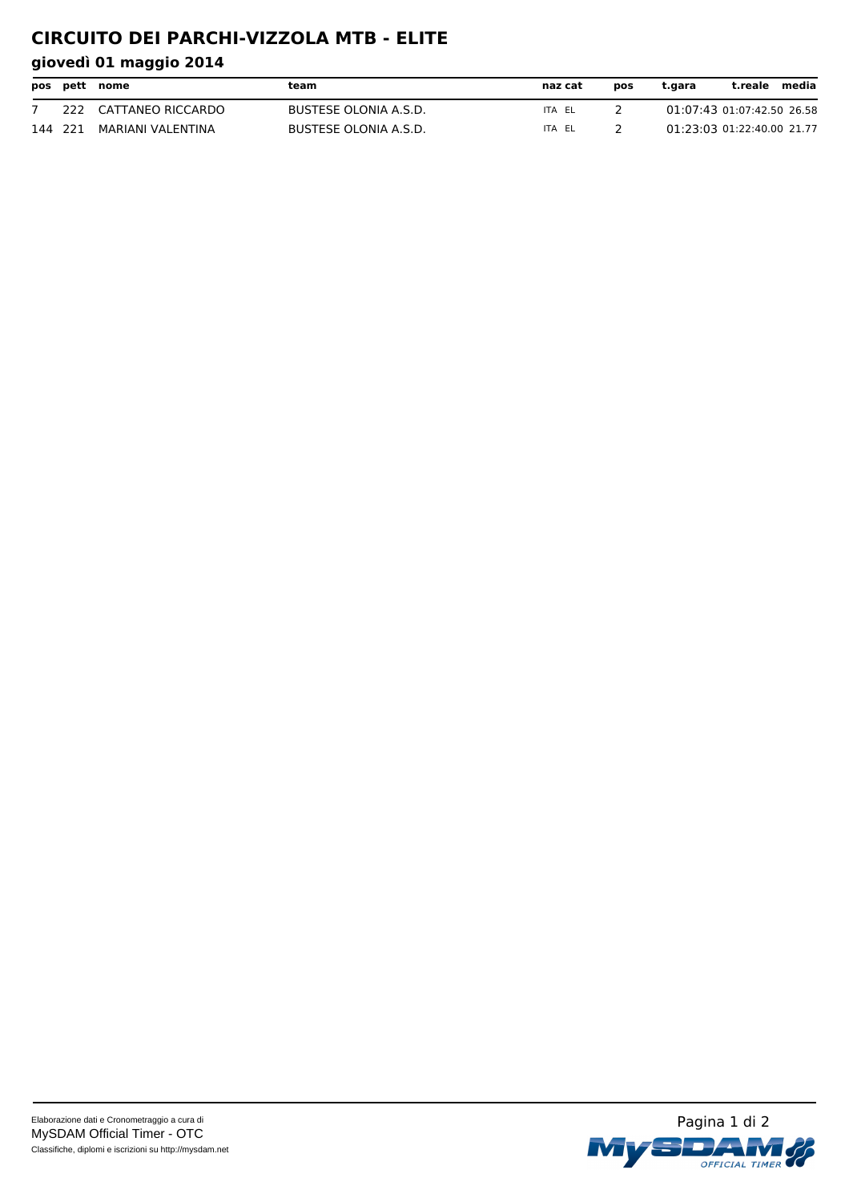# **CIRCUITO DEI PARCHI-VIZZOLA MTB - ELITE**

|         | pos pett nome         | team                  | naz cat | pos | t.gara                     | t.reale | media |
|---------|-----------------------|-----------------------|---------|-----|----------------------------|---------|-------|
|         | 222 CATTANEO RICCARDO | BUSTESE OLONIA A.S.D. | ITA EL  |     | 01:07:43 01:07:42.50 26.58 |         |       |
| 144 221 | MARIANI VALENTINA     | BUSTESE OLONIA A.S.D. | ITA EL  |     | 01:23:03 01:22:40.00 21.77 |         |       |

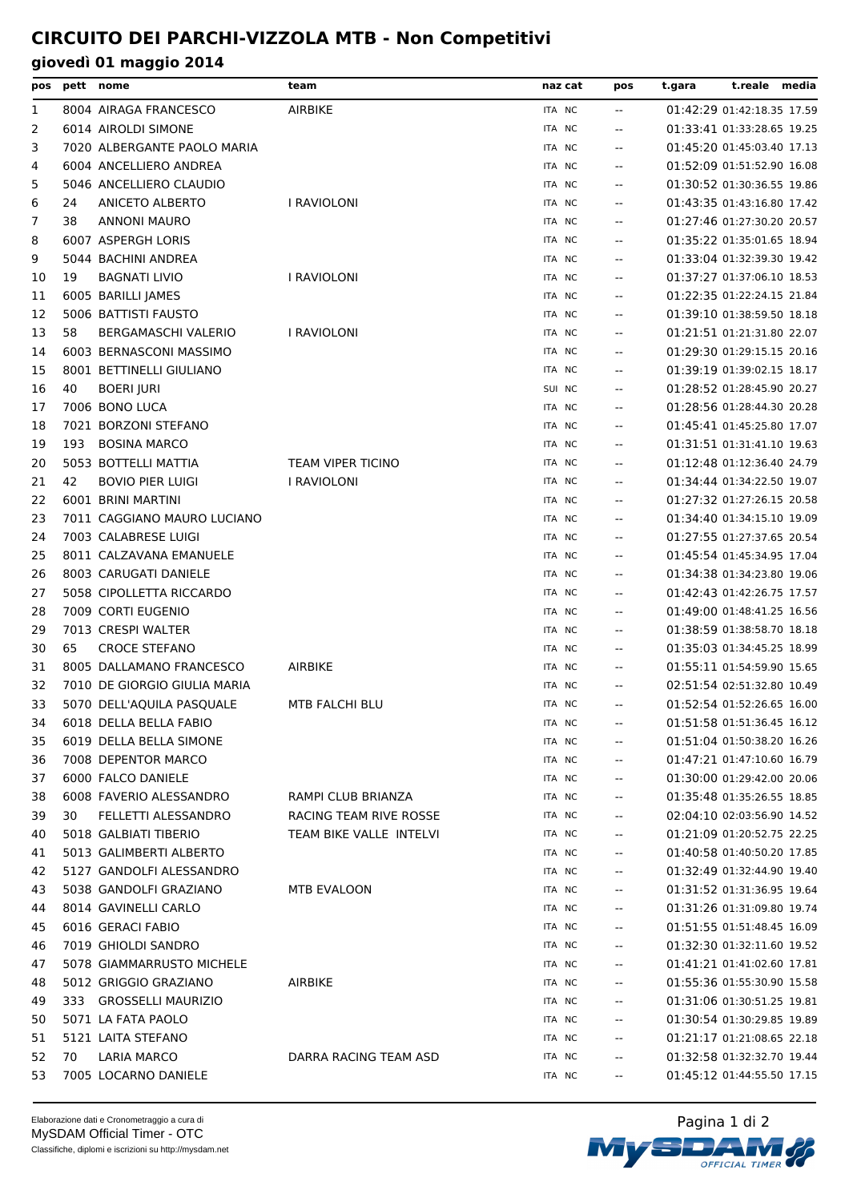| pos |     | pett nome                    | team                     | naz cat          | pos                      | t.reale media<br>t.gara    |
|-----|-----|------------------------------|--------------------------|------------------|--------------------------|----------------------------|
| 1   |     | 8004 AIRAGA FRANCESCO        | <b>AIRBIKE</b>           | ITA NC           | $\overline{a}$           | 01:42:29 01:42:18.35 17.59 |
| 2   |     | 6014 AIROLDI SIMONE          |                          | ITA NC           | $\overline{a}$           | 01:33:41 01:33:28.65 19.25 |
| 3   |     | 7020 ALBERGANTE PAOLO MARIA  |                          | ITA NC           | $\sim$ $\sim$            | 01:45:20 01:45:03.40 17.13 |
| 4   |     | 6004 ANCELLIERO ANDREA       |                          | ITA NC           | $\overline{a}$           | 01:52:09 01:51:52.90 16.08 |
| 5   |     | 5046 ANCELLIERO CLAUDIO      |                          | ITA NC           | $\overline{a}$           | 01:30:52 01:30:36.55 19.86 |
| 6   | 24  | <b>ANICETO ALBERTO</b>       | I RAVIOLONI              | ITA NC           | $\mathbf{u}$             | 01:43:35 01:43:16.80 17.42 |
| 7   | 38  | <b>ANNONI MAURO</b>          |                          | ITA NC           | $\overline{a}$           | 01:27:46 01:27:30.20 20.57 |
| 8   |     | 6007 ASPERGH LORIS           |                          | ITA NC           | $\mathbf{u}$             | 01:35:22 01:35:01.65 18.94 |
| 9   |     | 5044 BACHINI ANDREA          |                          | ITA NC           | $\sim$ $\sim$            | 01:33:04 01:32:39.30 19.42 |
| 10  | 19  | <b>BAGNATI LIVIO</b>         | I RAVIOLONI              | ITA NC           | $\overline{a}$           | 01:37:27 01:37:06.10 18.53 |
| 11  |     | 6005 BARILLI JAMES           |                          | ITA NC           | $- -$                    | 01:22:35 01:22:24.15 21.84 |
| 12  |     | 5006 BATTISTI FAUSTO         |                          | ITA NC           | $\overline{\phantom{a}}$ | 01:39:10 01:38:59.50 18.18 |
| 13  | 58  | <b>BERGAMASCHI VALERIO</b>   | I RAVIOLONI              | ITA NC           | $\overline{a}$           | 01:21:51 01:21:31.80 22.07 |
| 14  |     | 6003 BERNASCONI MASSIMO      |                          | ITA NC           | $\overline{a}$           | 01:29:30 01:29:15.15 20.16 |
| 15  |     | 8001 BETTINELLI GIULIANO     |                          | ITA NC           | $\mathbf{u}$             | 01:39:19 01:39:02.15 18.17 |
| 16  | 40  | <b>BOERI JURI</b>            |                          | SUI NC           | $-$                      | 01:28:52 01:28:45.90 20.27 |
| 17  |     | 7006 BONO LUCA               |                          | ITA NC           | $- -$                    | 01:28:56 01:28:44.30 20.28 |
| 18  |     | 7021 BORZONI STEFANO         |                          | ITA NC           | $- -$                    | 01:45:41 01:45:25.80 17.07 |
| 19  | 193 | <b>BOSINA MARCO</b>          |                          | ITA NC           | $\sim$ $\sim$            | 01:31:51 01:31:41.10 19.63 |
| 20  |     | 5053 BOTTELLI MATTIA         | <b>TEAM VIPER TICINO</b> | ITA NC           | $\mathbf{u}$             | 01:12:48 01:12:36.40 24.79 |
| 21  | 42  | <b>BOVIO PIER LUIGI</b>      | I RAVIOLONI              | ITA NC           | $\mathbf{u}$             | 01:34:44 01:34:22.50 19.07 |
| 22  |     | 6001 BRINI MARTINI           |                          | ITA NC           | $-$                      | 01:27:32 01:27:26.15 20.58 |
| 23  |     | 7011 CAGGIANO MAURO LUCIANO  |                          | ITA NC           | $\mathbf{u}$             | 01:34:40 01:34:15.10 19.09 |
| 24  |     | 7003 CALABRESE LUIGI         |                          | ITA NC           |                          | 01:27:55 01:27:37.65 20.54 |
| 25  |     | 8011 CALZAVANA EMANUELE      |                          | ITA NC           | $- -$<br>$-$             | 01:45:54 01:45:34.95 17.04 |
| 26  |     | 8003 CARUGATI DANIELE        |                          | ITA NC           | $\mathbf{u}$             | 01:34:38 01:34:23.80 19.06 |
|     |     | 5058 CIPOLLETTA RICCARDO     |                          | ITA NC           |                          | 01:42:43 01:42:26.75 17.57 |
| 27  |     | 7009 CORTI EUGENIO           |                          |                  | $\mathbf{u}$             | 01:49:00 01:48:41.25 16.56 |
| 28  |     | 7013 CRESPI WALTER           |                          | ITA NC<br>ITA NC | $-$                      | 01:38:59 01:38:58.70 18.18 |
| 29  |     | <b>CROCE STEFANO</b>         |                          |                  | $\mathbf{u}$             |                            |
| 30  | 65  | 8005 DALLAMANO FRANCESCO     |                          | ITA NC           | $\overline{\phantom{a}}$ | 01:35:03 01:34:45.25 18.99 |
| 31  |     |                              | <b>AIRBIKE</b>           | ITA NC           | $-$                      | 01:55:11 01:54:59.90 15.65 |
| 32  |     | 7010 DE GIORGIO GIULIA MARIA |                          | ITA NC           |                          | 02:51:54 02:51:32.80 10.49 |
| 33  |     | 5070 DELL'AQUILA PASQUALE    | <b>MTB FALCHI BLU</b>    | ITA NC           | $\mathbf{u}$             | 01:52:54 01:52:26.65 16.00 |
| 34  |     | 6018 DELLA BELLA FABIO       |                          | ITA NC           | 44                       | 01:51:58 01:51:36.45 16.12 |
| 35  |     | 6019 DELLA BELLA SIMONE      |                          | ITA NC           | $-$                      | 01:51:04 01:50:38.20 16.26 |
| 36  |     | 7008 DEPENTOR MARCO          |                          | ITA NC           | $- -$                    | 01:47:21 01:47:10.60 16.79 |
| 37  |     | 6000 FALCO DANIELE           |                          | ITA NC           | $\overline{\phantom{m}}$ | 01:30:00 01:29:42.00 20.06 |
| 38  |     | 6008 FAVERIO ALESSANDRO      | RAMPI CLUB BRIANZA       | ITA NC           | $\overline{\phantom{a}}$ | 01:35:48 01:35:26.55 18.85 |
| 39  | 30  | FELLETTI ALESSANDRO          | RACING TEAM RIVE ROSSE   | ITA NC           | $\overline{\phantom{a}}$ | 02:04:10 02:03:56.90 14.52 |
| 40  |     | 5018 GALBIATI TIBERIO        | TEAM BIKE VALLE INTELVI  | ITA NC           | $\overline{\phantom{a}}$ | 01:21:09 01:20:52.75 22.25 |
| 41  |     | 5013 GALIMBERTI ALBERTO      |                          | ITA NC           | $\overline{\phantom{m}}$ | 01:40:58 01:40:50.20 17.85 |
| 42  |     | 5127 GANDOLFI ALESSANDRO     |                          | ITA NC           | $\overline{\phantom{a}}$ | 01:32:49 01:32:44.90 19.40 |
| 43  |     | 5038 GANDOLFI GRAZIANO       | MTB EVALOON              | ITA NC           | $\overline{\phantom{a}}$ | 01:31:52 01:31:36.95 19.64 |
| 44  |     | 8014 GAVINELLI CARLO         |                          | ITA NC           | $- -$                    | 01:31:26 01:31:09.80 19.74 |
| 45  |     | 6016 GERACI FABIO            |                          | ITA NC           | $- -$                    | 01:51:55 01:51:48.45 16.09 |
| 46  |     | 7019 GHIOLDI SANDRO          |                          | ITA NC           | $- -$                    | 01:32:30 01:32:11.60 19.52 |
| 47  |     | 5078 GIAMMARRUSTO MICHELE    |                          | ITA NC           | $- -$                    | 01:41:21 01:41:02.60 17.81 |
| 48  |     | 5012 GRIGGIO GRAZIANO        | <b>AIRBIKE</b>           | ITA NC           | $- -$                    | 01:55:36 01:55:30.90 15.58 |
| 49  |     | 333 GROSSELLI MAURIZIO       |                          | ITA NC           | $\overline{\phantom{a}}$ | 01:31:06 01:30:51.25 19.81 |
| 50  |     | 5071 LA FATA PAOLO           |                          | ITA NC           | $\overline{\phantom{a}}$ | 01:30:54 01:30:29.85 19.89 |
| 51  |     | 5121 LAITA STEFANO           |                          | ITA NC           | $\overline{\phantom{m}}$ | 01:21:17 01:21:08.65 22.18 |
| 52  | 70  | LARIA MARCO                  | DARRA RACING TEAM ASD    | ITA NC           | $\overline{\phantom{a}}$ | 01:32:58 01:32:32.70 19.44 |
| 53  |     | 7005 LOCARNO DANIELE         |                          | ITA NC           | $\overline{\phantom{a}}$ | 01:45:12 01:44:55.50 17.15 |